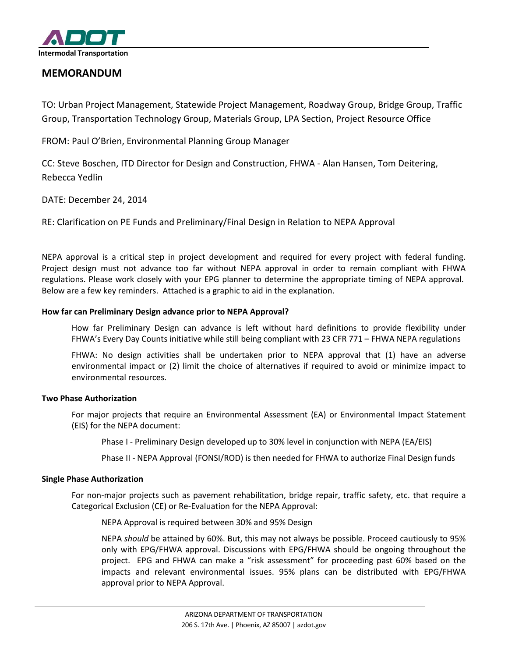

# **MEMORANDUM**

TO: Urban Project Management, Statewide Project Management, Roadway Group, Bridge Group, Traffic Group, Transportation Technology Group, Materials Group, LPA Section, Project Resource Office

FROM: Paul O'Brien, Environmental Planning Group Manager

CC: Steve Boschen, ITD Director for Design and Construction, FHWA - Alan Hansen, Tom Deitering, Rebecca Yedlin

DATE: December 24, 2014

RE: Clarification on PE Funds and Preliminary/Final Design in Relation to NEPA Approval

NEPA approval is a critical step in project development and required for every project with federal funding. Project design must not advance too far without NEPA approval in order to remain compliant with FHWA regulations. Please work closely with your EPG planner to determine the appropriate timing of NEPA approval. Below are a few key reminders. Attached is a graphic to aid in the explanation.

## **How far can Preliminary Design advance prior to NEPA Approval?**

How far Preliminary Design can advance is left without hard definitions to provide flexibility under FHWA's Every Day Counts initiative while still being compliant with 23 CFR 771 – FHWA NEPA regulations

FHWA: No design activities shall be undertaken prior to NEPA approval that (1) have an adverse environmental impact or (2) limit the choice of alternatives if required to avoid or minimize impact to environmental resources.

### **Two Phase Authorization**

For major projects that require an Environmental Assessment (EA) or Environmental Impact Statement (EIS) for the NEPA document:

Phase I - Preliminary Design developed up to 30% level in conjunction with NEPA (EA/EIS)

Phase II - NEPA Approval (FONSI/ROD) is then needed for FHWA to authorize Final Design funds

### **Single Phase Authorization**

For non-major projects such as pavement rehabilitation, bridge repair, traffic safety, etc. that require a Categorical Exclusion (CE) or Re-Evaluation for the NEPA Approval:

NEPA Approval is required between 30% and 95% Design

NEPA *should* be attained by 60%. But, this may not always be possible. Proceed cautiously to 95% only with EPG/FHWA approval. Discussions with EPG/FHWA should be ongoing throughout the project. EPG and FHWA can make a "risk assessment" for proceeding past 60% based on the impacts and relevant environmental issues. 95% plans can be distributed with EPG/FHWA approval prior to NEPA Approval.